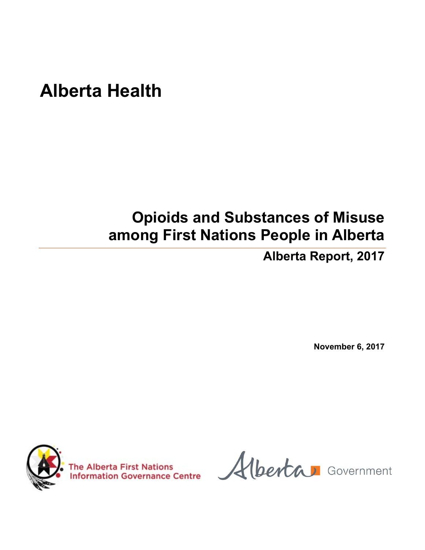# **Alberta Health**

## **Opioids and Substances of Misuse among First Nations People in Alberta**

**Alberta Report, 2017** 

**November 6, 2017** 



The Alberta First Nations<br>Information Governance Centre (berta Government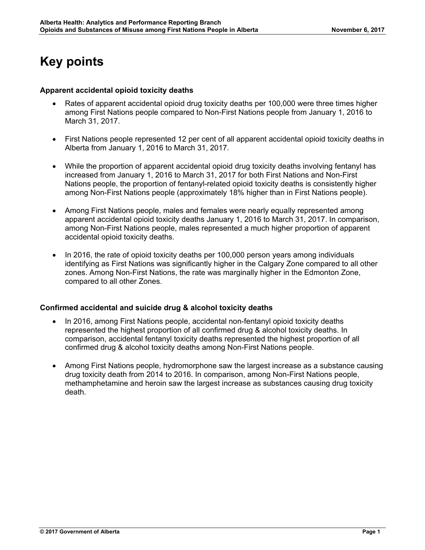### **Key points**

#### **Apparent accidental opioid toxicity deaths**

- Rates of apparent accidental opioid drug toxicity deaths per 100,000 were three times higher among First Nations people compared to Non-First Nations people from January 1, 2016 to March 31, 2017.
- First Nations people represented 12 per cent of all apparent accidental opioid toxicity deaths in Alberta from January 1, 2016 to March 31, 2017.
- While the proportion of apparent accidental opioid drug toxicity deaths involving fentanyl has increased from January 1, 2016 to March 31, 2017 for both First Nations and Non-First Nations people, the proportion of fentanyl-related opioid toxicity deaths is consistently higher among Non-First Nations people (approximately 18% higher than in First Nations people).
- Among First Nations people, males and females were nearly equally represented among apparent accidental opioid toxicity deaths January 1, 2016 to March 31, 2017. In comparison, among Non-First Nations people, males represented a much higher proportion of apparent accidental opioid toxicity deaths.
- In 2016, the rate of opioid toxicity deaths per 100,000 person years among individuals identifying as First Nations was significantly higher in the Calgary Zone compared to all other zones. Among Non-First Nations, the rate was marginally higher in the Edmonton Zone, compared to all other Zones.

#### **Confirmed accidental and suicide drug & alcohol toxicity deaths**

- In 2016, among First Nations people, accidental non-fentanyl opioid toxicity deaths represented the highest proportion of all confirmed drug & alcohol toxicity deaths. In comparison, accidental fentanyl toxicity deaths represented the highest proportion of all confirmed drug & alcohol toxicity deaths among Non-First Nations people.
- Among First Nations people, hydromorphone saw the largest increase as a substance causing drug toxicity death from 2014 to 2016. In comparison, among Non-First Nations people, methamphetamine and heroin saw the largest increase as substances causing drug toxicity death.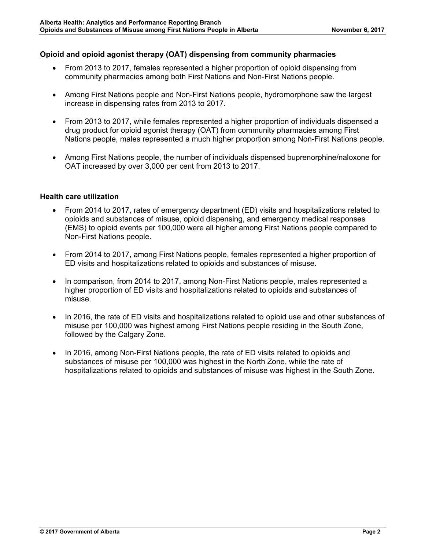#### **Opioid and opioid agonist therapy (OAT) dispensing from community pharmacies**

- From 2013 to 2017, females represented a higher proportion of opioid dispensing from community pharmacies among both First Nations and Non-First Nations people.
- Among First Nations people and Non-First Nations people, hydromorphone saw the largest increase in dispensing rates from 2013 to 2017.
- From 2013 to 2017, while females represented a higher proportion of individuals dispensed a drug product for opioid agonist therapy (OAT) from community pharmacies among First Nations people, males represented a much higher proportion among Non-First Nations people.
- Among First Nations people, the number of individuals dispensed buprenorphine/naloxone for OAT increased by over 3,000 per cent from 2013 to 2017.

#### **Health care utilization**

- From 2014 to 2017, rates of emergency department (ED) visits and hospitalizations related to opioids and substances of misuse, opioid dispensing, and emergency medical responses (EMS) to opioid events per 100,000 were all higher among First Nations people compared to Non-First Nations people.
- From 2014 to 2017, among First Nations people, females represented a higher proportion of ED visits and hospitalizations related to opioids and substances of misuse.
- In comparison, from 2014 to 2017, among Non-First Nations people, males represented a higher proportion of ED visits and hospitalizations related to opioids and substances of misuse.
- In 2016, the rate of ED visits and hospitalizations related to opioid use and other substances of misuse per 100,000 was highest among First Nations people residing in the South Zone, followed by the Calgary Zone.
- In 2016, among Non-First Nations people, the rate of ED visits related to opioids and substances of misuse per 100,000 was highest in the North Zone, while the rate of hospitalizations related to opioids and substances of misuse was highest in the South Zone.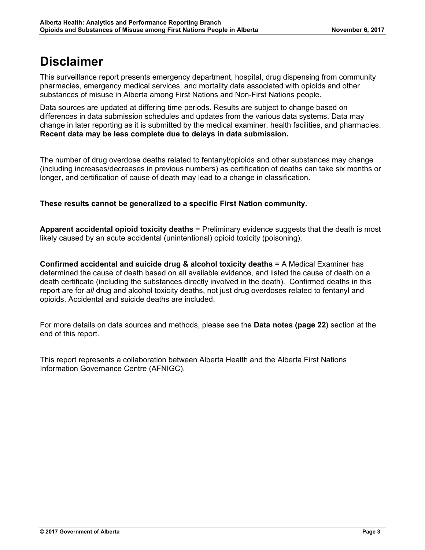### **Disclaimer**

This surveillance report presents emergency department, hospital, drug dispensing from community pharmacies, emergency medical services, and mortality data associated with opioids and other substances of misuse in Alberta among First Nations and Non-First Nations people.

Data sources are updated at differing time periods. Results are subject to change based on differences in data submission schedules and updates from the various data systems. Data may change in later reporting as it is submitted by the medical examiner, health facilities, and pharmacies. **Recent data may be less complete due to delays in data submission.** 

The number of drug overdose deaths related to fentanyl/opioids and other substances may change (including increases/decreases in previous numbers) as certification of deaths can take six months or longer, and certification of cause of death may lead to a change in classification.

#### **These results cannot be generalized to a specific First Nation community.**

**Apparent accidental opioid toxicity deaths** = Preliminary evidence suggests that the death is most likely caused by an acute accidental (unintentional) opioid toxicity (poisoning).

**Confirmed accidental and suicide drug & alcohol toxicity deaths** = A Medical Examiner has determined the cause of death based on all available evidence, and listed the cause of death on a death certificate (including the substances directly involved in the death). Confirmed deaths in this report are for *all* drug and alcohol toxicity deaths, not just drug overdoses related to fentanyl and opioids. Accidental and suicide deaths are included.

For more details on data sources and methods, please see the **Data notes (page 22)** section at the end of this report.

This report represents a collaboration between Alberta Health and the Alberta First Nations Information Governance Centre (AFNIGC).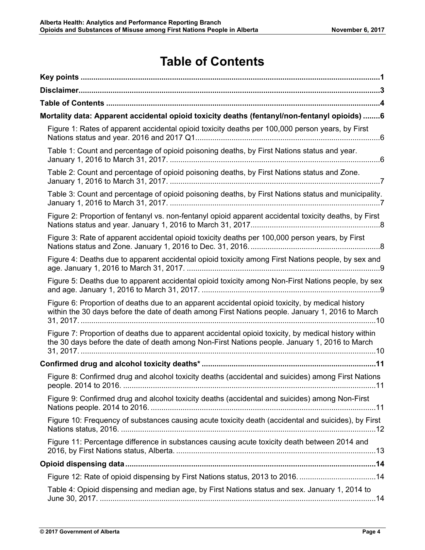### **Table of Contents**

| Mortality data: Apparent accidental opioid toxicity deaths (fentanyl/non-fentanyl opioids) 6                                                                                                          |
|-------------------------------------------------------------------------------------------------------------------------------------------------------------------------------------------------------|
| Figure 1: Rates of apparent accidental opioid toxicity deaths per 100,000 person years, by First                                                                                                      |
| Table 1: Count and percentage of opioid poisoning deaths, by First Nations status and year.                                                                                                           |
| Table 2: Count and percentage of opioid poisoning deaths, by First Nations status and Zone.                                                                                                           |
| Table 3: Count and percentage of opioid poisoning deaths, by First Nations status and municipality.                                                                                                   |
| Figure 2: Proportion of fentanyl vs. non-fentanyl opioid apparent accidental toxicity deaths, by First                                                                                                |
| Figure 3: Rate of apparent accidental opioid toxicity deaths per 100,000 person years, by First                                                                                                       |
| Figure 4: Deaths due to apparent accidental opioid toxicity among First Nations people, by sex and                                                                                                    |
| Figure 5: Deaths due to apparent accidental opioid toxicity among Non-First Nations people, by sex                                                                                                    |
| Figure 6: Proportion of deaths due to an apparent accidental opioid toxicity, by medical history<br>within the 30 days before the date of death among First Nations people. January 1, 2016 to March  |
| Figure 7: Proportion of deaths due to apparent accidental opioid toxicity, by medical history within<br>the 30 days before the date of death among Non-First Nations people. January 1, 2016 to March |
|                                                                                                                                                                                                       |
| Figure 8: Confirmed drug and alcohol toxicity deaths (accidental and suicides) among First Nations                                                                                                    |
| Figure 9: Confirmed drug and alcohol toxicity deaths (accidental and suicides) among Non-First                                                                                                        |
| Figure 10: Frequency of substances causing acute toxicity death (accidental and suicides), by First                                                                                                   |
| Figure 11: Percentage difference in substances causing acute toxicity death between 2014 and                                                                                                          |
|                                                                                                                                                                                                       |
| Figure 12: Rate of opioid dispensing by First Nations status, 2013 to 2016. 14                                                                                                                        |
| Table 4: Opioid dispensing and median age, by First Nations status and sex. January 1, 2014 to                                                                                                        |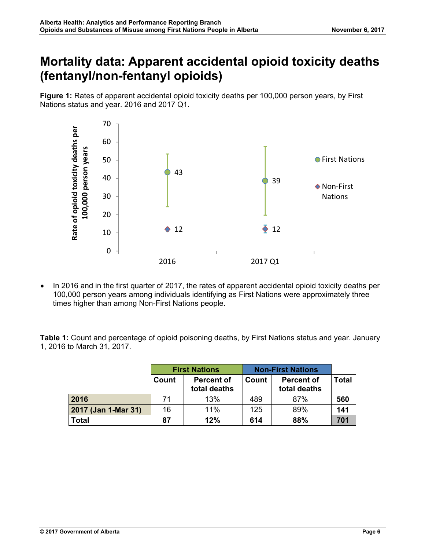### **Mortality data: Apparent accidental opioid toxicity deaths (fentanyl/non-fentanyl opioids)**

**Figure 1:** Rates of apparent accidental opioid toxicity deaths per 100,000 person years, by First Nations status and year. 2016 and 2017 Q1.



• In 2016 and in the first quarter of 2017, the rates of apparent accidental opioid toxicity deaths per 100,000 person years among individuals identifying as First Nations were approximately three times higher than among Non-First Nations people.

**Table 1:** Count and percentage of opioid poisoning deaths, by First Nations status and year. January 1, 2016 to March 31, 2017.

|                     |       | <b>First Nations</b>              | <b>Non-First Nations</b> |                                   |              |
|---------------------|-------|-----------------------------------|--------------------------|-----------------------------------|--------------|
|                     | Count | <b>Percent of</b><br>total deaths | Count                    | <b>Percent of</b><br>total deaths | <b>Total</b> |
| 2016                | 71    | 13%                               | 489                      | 87%                               | 560          |
| 2017 (Jan 1-Mar 31) | 16    | 11%                               | 125                      | 89%                               | 141          |
| Total               | 87    | 12%                               | 614                      | 88%                               | 701          |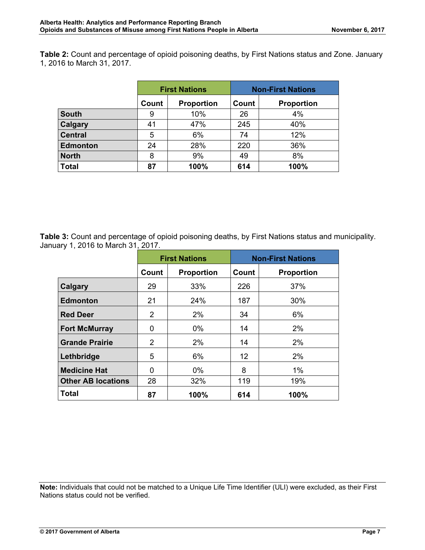**Table 2:** Count and percentage of opioid poisoning deaths, by First Nations status and Zone. January 1, 2016 to March 31, 2017.

|                 |       | <b>First Nations</b> |       | <b>Non-First Nations</b> |
|-----------------|-------|----------------------|-------|--------------------------|
|                 | Count | <b>Proportion</b>    | Count | <b>Proportion</b>        |
| <b>South</b>    | 9     | 10%                  | 26    | 4%                       |
| <b>Calgary</b>  | 41    | 47%                  | 245   | 40%                      |
| <b>Central</b>  | 5     | 6%                   | 74    | 12%                      |
| <b>Edmonton</b> | 24    | 28%                  | 220   | 36%                      |
| <b>North</b>    | 8     | 9%                   | 49    | 8%                       |
| <b>Total</b>    | 87    | 100%                 | 614   | 100%                     |

**Table 3:** Count and percentage of opioid poisoning deaths, by First Nations status and municipality. January 1, 2016 to March 31, 2017.

|                           | <b>First Nations</b> |                            |     | <b>Non-First Nations</b> |
|---------------------------|----------------------|----------------------------|-----|--------------------------|
|                           | Count                | Count<br><b>Proportion</b> |     | <b>Proportion</b>        |
| Calgary                   | 29                   | 33%                        | 226 | 37%                      |
| <b>Edmonton</b>           | 21                   | 24%                        | 187 | 30%                      |
| <b>Red Deer</b>           | 2                    | 2%                         | 34  | 6%                       |
| <b>Fort McMurray</b>      | 0                    | $0\%$                      | 14  | 2%                       |
| <b>Grande Prairie</b>     | 2                    | 2%                         | 14  | 2%                       |
| Lethbridge                | 5                    | 6%                         | 12  | 2%                       |
| <b>Medicine Hat</b>       | $\Omega$             | $0\%$                      | 8   | $1\%$                    |
| <b>Other AB locations</b> | 28                   | 32%                        | 119 | 19%                      |
| Total                     | 87                   | 100%                       | 614 | 100%                     |

**Note:** Individuals that could not be matched to a Unique Life Time Identifier (ULI) were excluded, as their First Nations status could not be verified.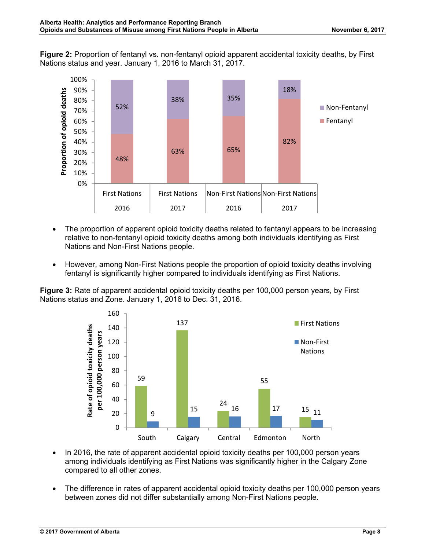**Figure 2:** Proportion of fentanyl vs. non-fentanyl opioid apparent accidental toxicity deaths, by First Nations status and year. January 1, 2016 to March 31, 2017.



- The proportion of apparent opioid toxicity deaths related to fentanyl appears to be increasing relative to non-fentanyl opioid toxicity deaths among both individuals identifying as First Nations and Non-First Nations people.
- However, among Non-First Nations people the proportion of opioid toxicity deaths involving fentanyl is significantly higher compared to individuals identifying as First Nations.

**Figure 3:** Rate of apparent accidental opioid toxicity deaths per 100,000 person years, by First Nations status and Zone. January 1, 2016 to Dec. 31, 2016.



- In 2016, the rate of apparent accidental opioid toxicity deaths per 100,000 person years among individuals identifying as First Nations was significantly higher in the Calgary Zone compared to all other zones.
- The difference in rates of apparent accidental opioid toxicity deaths per 100,000 person years between zones did not differ substantially among Non-First Nations people.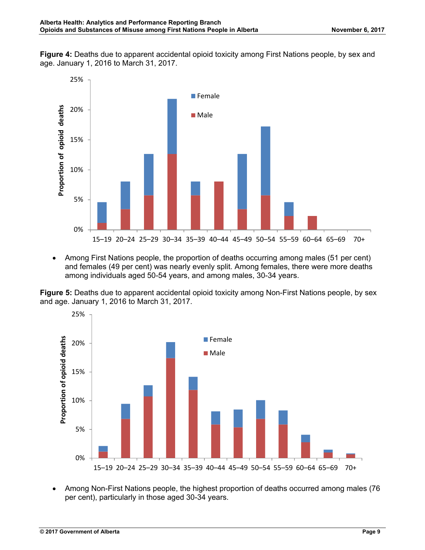**Figure 4:** Deaths due to apparent accidental opioid toxicity among First Nations people, by sex and age. January 1, 2016 to March 31, 2017.



• Among First Nations people, the proportion of deaths occurring among males (51 per cent) and females (49 per cent) was nearly evenly split. Among females, there were more deaths among individuals aged 50-54 years, and among males, 30-34 years.

**Figure 5:** Deaths due to apparent accidental opioid toxicity among Non-First Nations people, by sex and age. January 1, 2016 to March 31, 2017.



• Among Non-First Nations people, the highest proportion of deaths occurred among males (76 per cent), particularly in those aged 30-34 years.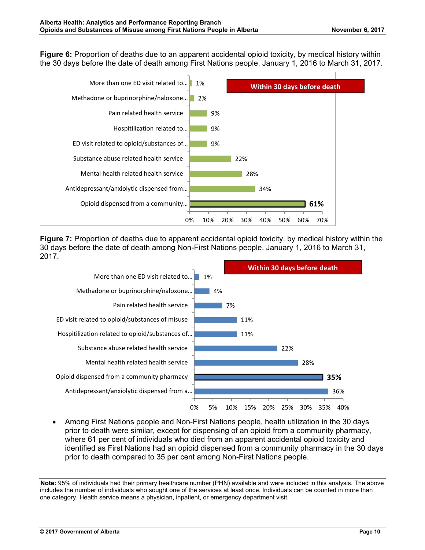**Figure 6:** Proportion of deaths due to an apparent accidental opioid toxicity, by medical history within the 30 days before the date of death among First Nations people. January 1, 2016 to March 31, 2017.



**Figure 7:** Proportion of deaths due to apparent accidental opioid toxicity, by medical history within the 30 days before the date of death among Non-First Nations people. January 1, 2016 to March 31, 2017.



• Among First Nations people and Non-First Nations people, health utilization in the 30 days prior to death were similar, except for dispensing of an opioid from a community pharmacy, where 61 per cent of individuals who died from an apparent accidental opioid toxicity and identified as First Nations had an opioid dispensed from a community pharmacy in the 30 days prior to death compared to 35 per cent among Non-First Nations people.

**Note:** 95% of individuals had their primary healthcare number (PHN) available and were included in this analysis. The above includes the number of individuals who sought one of the services at least once. Individuals can be counted in more than one category. Health service means a physician, inpatient, or emergency department visit.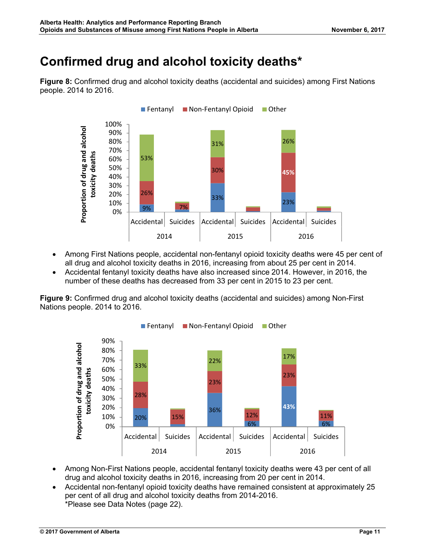### **Confirmed drug and alcohol toxicity deaths\***

**Figure 8:** Confirmed drug and alcohol toxicity deaths (accidental and suicides) among First Nations people. 2014 to 2016.



- Among First Nations people, accidental non-fentanyl opioid toxicity deaths were 45 per cent of all drug and alcohol toxicity deaths in 2016, increasing from about 25 per cent in 2014.
- Accidental fentanyl toxicity deaths have also increased since 2014. However, in 2016, the number of these deaths has decreased from 33 per cent in 2015 to 23 per cent.

**Figure 9:** Confirmed drug and alcohol toxicity deaths (accidental and suicides) among Non-First Nations people. 2014 to 2016.



- Among Non-First Nations people, accidental fentanyl toxicity deaths were 43 per cent of all drug and alcohol toxicity deaths in 2016, increasing from 20 per cent in 2014.
- Accidental non-fentanyl opioid toxicity deaths have remained consistent at approximately 25 per cent of all drug and alcohol toxicity deaths from 2014-2016. \*Please see Data Notes (page 22).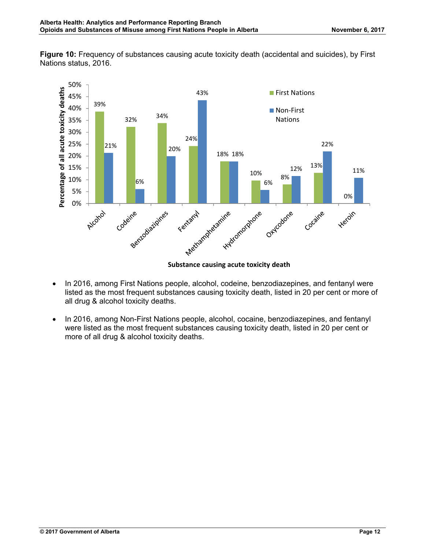**Figure 10:** Frequency of substances causing acute toxicity death (accidental and suicides), by First Nations status, 2016.



**Substance causing acute toxicity death**

- In 2016, among First Nations people, alcohol, codeine, benzodiazepines, and fentanyl were listed as the most frequent substances causing toxicity death, listed in 20 per cent or more of all drug & alcohol toxicity deaths.
- In 2016, among Non-First Nations people, alcohol, cocaine, benzodiazepines, and fentanyl were listed as the most frequent substances causing toxicity death, listed in 20 per cent or more of all drug & alcohol toxicity deaths.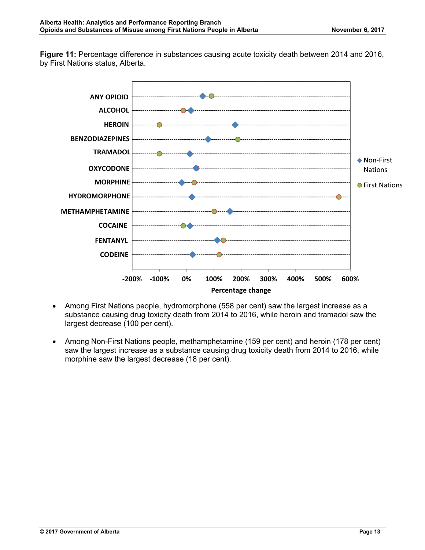**Figure 11:** Percentage difference in substances causing acute toxicity death between 2014 and 2016, by First Nations status, Alberta.



- Among First Nations people, hydromorphone (558 per cent) saw the largest increase as a substance causing drug toxicity death from 2014 to 2016, while heroin and tramadol saw the largest decrease (100 per cent).
- Among Non-First Nations people, methamphetamine (159 per cent) and heroin (178 per cent) saw the largest increase as a substance causing drug toxicity death from 2014 to 2016, while morphine saw the largest decrease (18 per cent).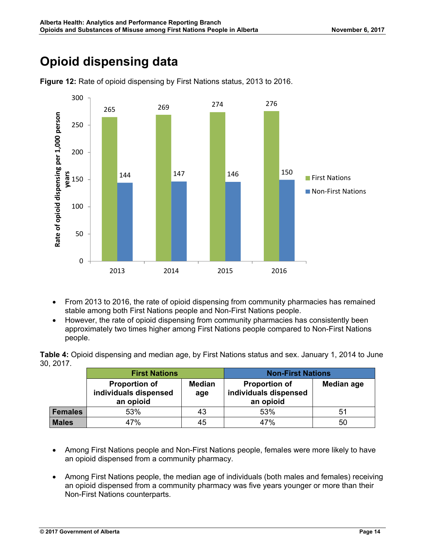### **Opioid dispensing data**



**Figure 12:** Rate of opioid dispensing by First Nations status, 2013 to 2016.

- From 2013 to 2016, the rate of opioid dispensing from community pharmacies has remained stable among both First Nations people and Non-First Nations people.
- However, the rate of opioid dispensing from community pharmacies has consistently been approximately two times higher among First Nations people compared to Non-First Nations people.

**Table 4:** Opioid dispensing and median age, by First Nations status and sex. January 1, 2014 to June 30, 2017.

|                | <b>First Nations</b>                                       |                      | <b>Non-First Nations</b>                                   |                   |  |
|----------------|------------------------------------------------------------|----------------------|------------------------------------------------------------|-------------------|--|
|                | <b>Proportion of</b><br>individuals dispensed<br>an opioid | <b>Median</b><br>age | <b>Proportion of</b><br>individuals dispensed<br>an opioid | <b>Median age</b> |  |
| <b>Females</b> | 53%                                                        | 43                   | 53%                                                        | 51                |  |
| <b>Males</b>   | 47%                                                        | 45                   | 47%                                                        | 50                |  |

- Among First Nations people and Non-First Nations people, females were more likely to have an opioid dispensed from a community pharmacy.
- Among First Nations people, the median age of individuals (both males and females) receiving an opioid dispensed from a community pharmacy was five years younger or more than their Non-First Nations counterparts.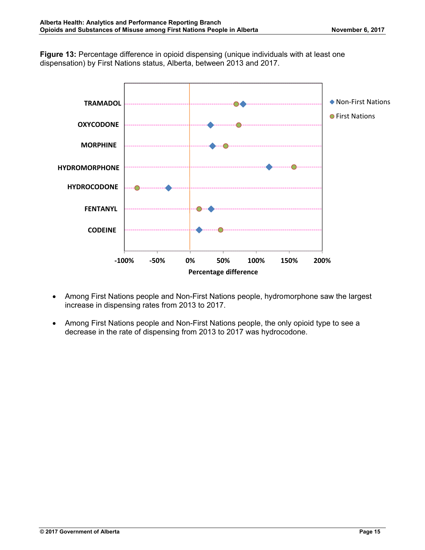**Figure 13:** Percentage difference in opioid dispensing (unique individuals with at least one dispensation) by First Nations status, Alberta, between 2013 and 2017.



- Among First Nations people and Non-First Nations people, hydromorphone saw the largest increase in dispensing rates from 2013 to 2017.
- Among First Nations people and Non-First Nations people, the only opioid type to see a decrease in the rate of dispensing from 2013 to 2017 was hydrocodone.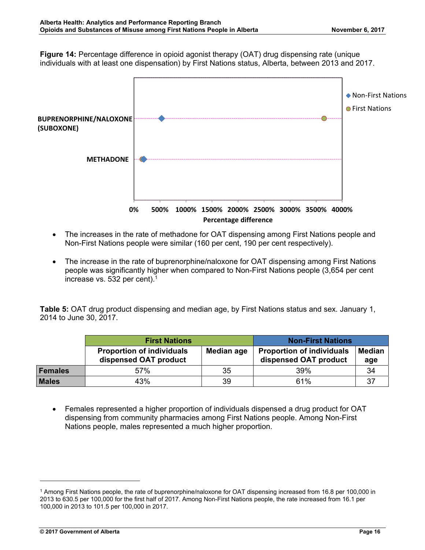**Figure 14:** Percentage difference in opioid agonist therapy (OAT) drug dispensing rate (unique individuals with at least one dispensation) by First Nations status, Alberta, between 2013 and 2017.



- The increases in the rate of methadone for OAT dispensing among First Nations people and Non-First Nations people were similar (160 per cent, 190 per cent respectively).
- The increase in the rate of buprenorphine/naloxone for OAT dispensing among First Nations people was significantly higher when compared to Non-First Nations people (3,654 per cent increase vs. 532 per cent).<sup>1</sup>

**Table 5:** OAT drug product dispensing and median age, by First Nations status and sex. January 1, 2014 to June 30, 2017.

|              | <b>First Nations</b>                                      | <b>Non-First Nations</b> |                                                           |                      |
|--------------|-----------------------------------------------------------|--------------------------|-----------------------------------------------------------|----------------------|
|              | <b>Proportion of individuals</b><br>dispensed OAT product | Median age               | <b>Proportion of individuals</b><br>dispensed OAT product | <b>Median</b><br>age |
| Females      | 57%                                                       | 35                       | 39%                                                       | 34                   |
| <b>Males</b> | 43%                                                       | 39                       | 61%                                                       | 37                   |

• Females represented a higher proportion of individuals dispensed a drug product for OAT dispensing from community pharmacies among First Nations people. Among Non-First Nations people, males represented a much higher proportion.

<sup>1</sup> Among First Nations people, the rate of buprenorphine/naloxone for OAT dispensing increased from 16.8 per 100,000 in 2013 to 630.5 per 100,000 for the first half of 2017. Among Non-First Nations people, the rate increased from 16.1 per 100,000 in 2013 to 101.5 per 100,000 in 2017.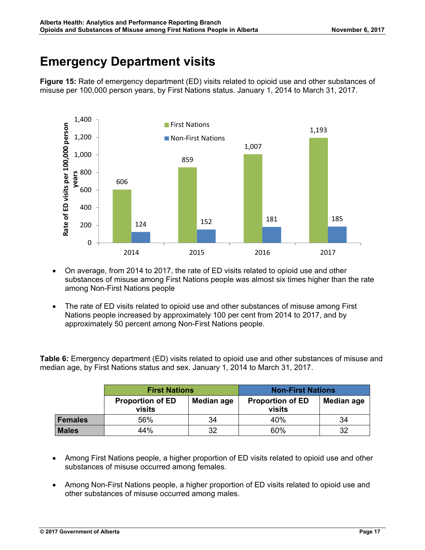### **Emergency Department visits**

**Figure 15:** Rate of emergency department (ED) visits related to opioid use and other substances of misuse per 100,000 person years, by First Nations status. January 1, 2014 to March 31, 2017.



- On average, from 2014 to 2017, the rate of ED visits related to opioid use and other substances of misuse among First Nations people was almost six times higher than the rate among Non-First Nations people
- The rate of ED visits related to opioid use and other substances of misuse among First Nations people increased by approximately 100 per cent from 2014 to 2017, and by approximately 50 percent among Non-First Nations people.

**Table 6:** Emergency department (ED) visits related to opioid use and other substances of misuse and median age, by First Nations status and sex. January 1, 2014 to March 31, 2017.

|                | <b>First Nations</b>              |            | <b>Non-First Nations</b>          |            |  |
|----------------|-----------------------------------|------------|-----------------------------------|------------|--|
|                | <b>Proportion of ED</b><br>visits | Median age | <b>Proportion of ED</b><br>visits | Median age |  |
| <b>Females</b> | 56%                               | 34         | 40%                               | 34         |  |
| <b>Males</b>   | 44%                               | 32         | 60%                               | 32         |  |

- Among First Nations people, a higher proportion of ED visits related to opioid use and other substances of misuse occurred among females.
- Among Non-First Nations people, a higher proportion of ED visits related to opioid use and other substances of misuse occurred among males.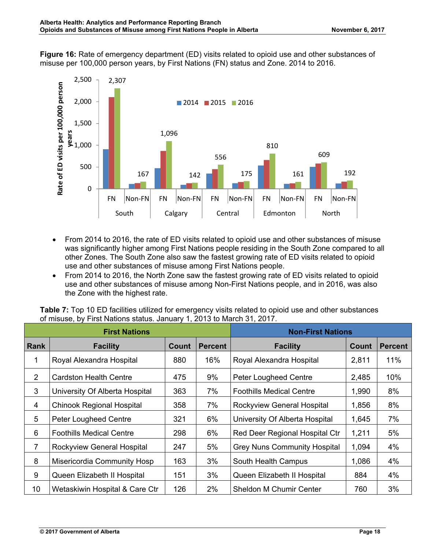**Figure 16:** Rate of emergency department (ED) visits related to opioid use and other substances of misuse per 100,000 person years, by First Nations (FN) status and Zone. 2014 to 2016.



- From 2014 to 2016, the rate of ED visits related to opioid use and other substances of misuse was significantly higher among First Nations people residing in the South Zone compared to all other Zones. The South Zone also saw the fastest growing rate of ED visits related to opioid use and other substances of misuse among First Nations people.
- From 2014 to 2016, the North Zone saw the fastest growing rate of ED visits related to opioid use and other substances of misuse among Non-First Nations people, and in 2016, was also the Zone with the highest rate.

**Table 7:** Top 10 ED facilities utilized for emergency visits related to opioid use and other substances of misuse, by First Nations status. January 1, 2013 to March 31, 2017.

| <b>First Nations</b> |                                  |       |                | <b>Non-First Nations</b>            |              |                |
|----------------------|----------------------------------|-------|----------------|-------------------------------------|--------------|----------------|
| <b>Rank</b>          | <b>Facility</b>                  | Count | <b>Percent</b> | <b>Facility</b>                     | <b>Count</b> | <b>Percent</b> |
| 1                    | Royal Alexandra Hospital         | 880   | 16%            | Royal Alexandra Hospital            | 2,811        | 11%            |
| $\overline{2}$       | <b>Cardston Health Centre</b>    | 475   | 9%             | <b>Peter Lougheed Centre</b>        | 2,485        | 10%            |
| 3                    | University Of Alberta Hospital   | 363   | 7%             | <b>Foothills Medical Centre</b>     | 1,990        | 8%             |
| 4                    | <b>Chinook Regional Hospital</b> | 358   | 7%             | Rockyview General Hospital          | 1,856        | 8%             |
| 5                    | <b>Peter Lougheed Centre</b>     | 321   | 6%             | University Of Alberta Hospital      | 1,645        | 7%             |
| 6                    | <b>Foothills Medical Centre</b>  | 298   | 6%             | Red Deer Regional Hospital Ctr      | 1,211        | 5%             |
| $\overline{7}$       | Rockyview General Hospital       | 247   | 5%             | <b>Grey Nuns Community Hospital</b> | 1,094        | 4%             |
| 8                    | Misericordia Community Hosp      | 163   | 3%             | South Health Campus                 | 1,086        | 4%             |
| 9                    | Queen Elizabeth II Hospital      | 151   | 3%             | Queen Elizabeth II Hospital         | 884          | 4%             |
| 10                   | Wetaskiwin Hospital & Care Ctr   | 126   | 2%             | <b>Sheldon M Chumir Center</b>      | 760          | 3%             |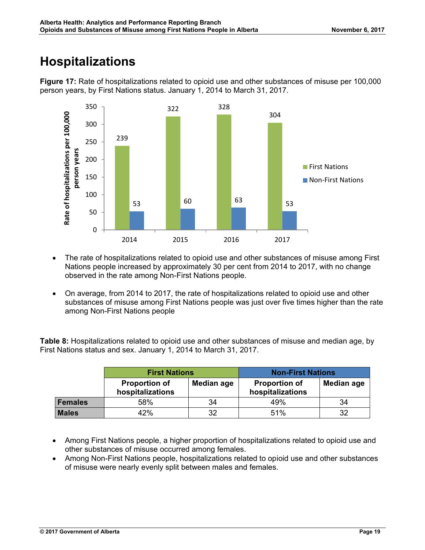### **Hospitalizations**



**Figure 17:** Rate of hospitalizations related to opioid use and other substances of misuse per 100,000 person years, by First Nations status. January 1, 2014 to March 31, 2017.

- The rate of hospitalizations related to opioid use and other substances of misuse among First Nations people increased by approximately 30 per cent from 2014 to 2017, with no change observed in the rate among Non-First Nations people.
- On average, from 2014 to 2017, the rate of hospitalizations related to opioid use and other substances of misuse among First Nations people was just over five times higher than the rate among Non-First Nations people

**Table 8:** Hospitalizations related to opioid use and other substances of misuse and median age, by First Nations status and sex. January 1, 2014 to March 31, 2017.

|                | <b>First Nations</b>                     |            | <b>Non-First Nations</b>                 |            |
|----------------|------------------------------------------|------------|------------------------------------------|------------|
|                | <b>Proportion of</b><br>hospitalizations | Median age | <b>Proportion of</b><br>hospitalizations | Median age |
| <b>Females</b> | 58%                                      | 34         | 49%                                      | 34         |
| <b>Males</b>   | 42%                                      | 32         | 51%                                      | 32         |

- Among First Nations people, a higher proportion of hospitalizations related to opioid use and other substances of misuse occurred among females.
- Among Non-First Nations people, hospitalizations related to opioid use and other substances of misuse were nearly evenly split between males and females.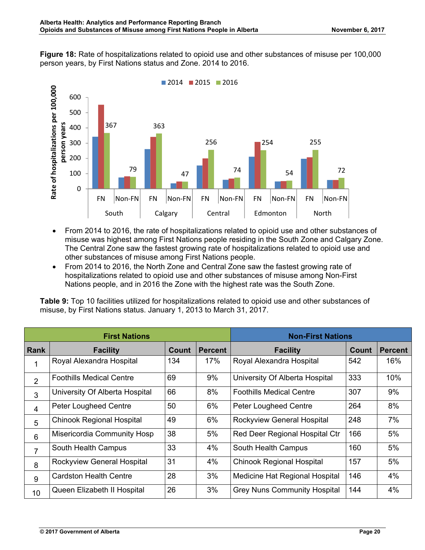**Figure 18:** Rate of hospitalizations related to opioid use and other substances of misuse per 100,000 person years, by First Nations status and Zone. 2014 to 2016.



- From 2014 to 2016, the rate of hospitalizations related to opioid use and other substances of misuse was highest among First Nations people residing in the South Zone and Calgary Zone. The Central Zone saw the fastest growing rate of hospitalizations related to opioid use and other substances of misuse among First Nations people.
- From 2014 to 2016, the North Zone and Central Zone saw the fastest growing rate of hospitalizations related to opioid use and other substances of misuse among Non-First Nations people, and in 2016 the Zone with the highest rate was the South Zone.

**Table 9:** Top 10 facilities utilized for hospitalizations related to opioid use and other substances of misuse, by First Nations status. January 1, 2013 to March 31, 2017.

| <b>First Nations</b> |                                  |              |                | <b>Non-First Nations</b>            |              |                |  |
|----------------------|----------------------------------|--------------|----------------|-------------------------------------|--------------|----------------|--|
| <b>Rank</b>          | <b>Facility</b>                  | <b>Count</b> | <b>Percent</b> | <b>Facility</b>                     | <b>Count</b> | <b>Percent</b> |  |
|                      | Royal Alexandra Hospital         | 134          | 17%            | Royal Alexandra Hospital            | 542          | 16%            |  |
| $\overline{2}$       | <b>Foothills Medical Centre</b>  | 69           | 9%             | University Of Alberta Hospital      | 333          | 10%            |  |
| 3                    | University Of Alberta Hospital   | 66           | 8%             | <b>Foothills Medical Centre</b>     | 307          | 9%             |  |
| 4                    | <b>Peter Lougheed Centre</b>     | 50           | 6%             | <b>Peter Lougheed Centre</b>        | 264          | 8%             |  |
| 5                    | <b>Chinook Regional Hospital</b> | 49           | 6%             | Rockyview General Hospital          | 248          | 7%             |  |
| 6                    | Misericordia Community Hosp      | 38           | 5%             | Red Deer Regional Hospital Ctr      | 166          | 5%             |  |
| 7                    | South Health Campus              | 33           | 4%             | South Health Campus                 | 160          | 5%             |  |
| 8                    | Rockyview General Hospital       | 31           | 4%             | <b>Chinook Regional Hospital</b>    | 157          | 5%             |  |
| 9                    | Cardston Health Centre           | 28           | 3%             | Medicine Hat Regional Hospital      | 146          | 4%             |  |
| 10                   | Queen Elizabeth II Hospital      | 26           | 3%             | <b>Grey Nuns Community Hospital</b> | 144          | 4%             |  |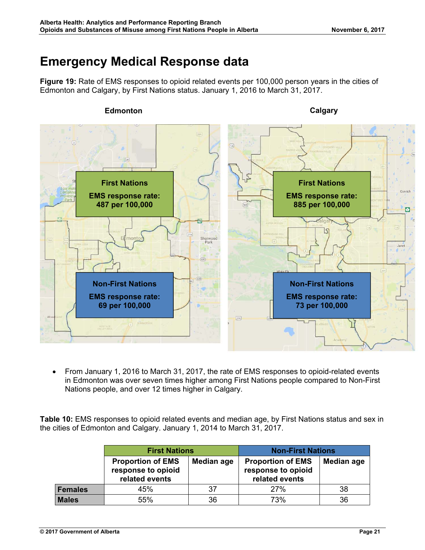### **Emergency Medical Response data**

**Figure 19:** Rate of EMS responses to opioid related events per 100,000 person years in the cities of Edmonton and Calgary, by First Nations status. January 1, 2016 to March 31, 2017.



• From January 1, 2016 to March 31, 2017, the rate of EMS responses to opioid-related events in Edmonton was over seven times higher among First Nations people compared to Non-First Nations people, and over 12 times higher in Calgary.

**Table 10:** EMS responses to opioid related events and median age, by First Nations status and sex in the cities of Edmonton and Calgary. January 1, 2014 to March 31, 2017.

|                | <b>First Nations</b>                                             |            | <b>Non-First Nations</b>                                         |            |  |
|----------------|------------------------------------------------------------------|------------|------------------------------------------------------------------|------------|--|
|                | <b>Proportion of EMS</b><br>response to opioid<br>related events | Median age | <b>Proportion of EMS</b><br>response to opioid<br>related events | Median age |  |
| <b>Females</b> | 45%                                                              | 37         | 27%                                                              | 38         |  |
| <b>Males</b>   | 55%                                                              | 36         | 73%                                                              | 36         |  |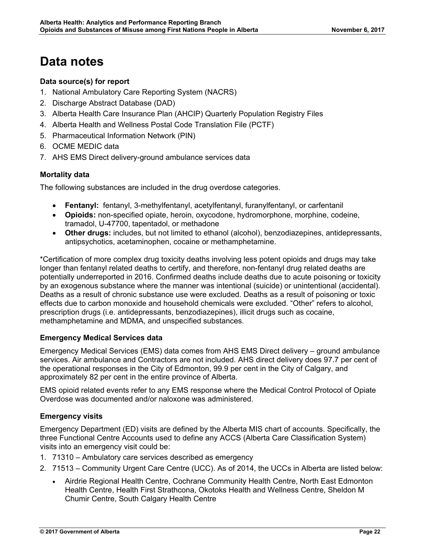### **Data notes**

#### **Data source(s) for report**

- 1. National Ambulatory Care Reporting System (NACRS)
- 2. Discharge Abstract Database (DAD)
- 3. Alberta Health Care Insurance Plan (AHCIP) Quarterly Population Registry Files
- 4. Alberta Health and Wellness Postal Code Translation File (PCTF)
- 5. Pharmaceutical Information Network (PIN)
- 6. OCME MEDIC data
- 7. AHS EMS Direct delivery-ground ambulance services data

#### **Mortality data**

The following substances are included in the drug overdose categories.

- x **Fentanyl:** fentanyl, 3-methylfentanyl, acetylfentanyl, furanylfentanyl, or carfentanil
- **Opioids:** non-specified opiate, heroin, oxycodone, hydromorphone, morphine, codeine, tramadol, U-47700, tapentadol, or methadone
- **Other drugs:** includes, but not limited to ethanol (alcohol), benzodiazepines, antidepressants, antipsychotics, acetaminophen, cocaine or methamphetamine.

\*Certification of more complex drug toxicity deaths involving less potent opioids and drugs may take longer than fentanyl related deaths to certify, and therefore, non-fentanyl drug related deaths are potentially underreported in 2016. Confirmed deaths include deaths due to acute poisoning or toxicity by an exogenous substance where the manner was intentional (suicide) or unintentional (accidental). Deaths as a result of chronic substance use were excluded. Deaths as a result of poisoning or toxic effects due to carbon monoxide and household chemicals were excluded. "Other" refers to alcohol, prescription drugs (i.e. antidepressants, benzodiazepines), illicit drugs such as cocaine, methamphetamine and MDMA, and unspecified substances.

#### **Emergency Medical Services data**

Emergency Medical Services (EMS) data comes from AHS EMS Direct delivery – ground ambulance services. Air ambulance and Contractors are not included. AHS direct delivery does 97.7 per cent of the operational responses in the City of Edmonton, 99.9 per cent in the City of Calgary, and approximately 82 per cent in the entire province of Alberta.

EMS opioid related events refer to any EMS response where the Medical Control Protocol of Opiate Overdose was documented and/or naloxone was administered.

#### **Emergency visits**

Emergency Department (ED) visits are defined by the Alberta MIS chart of accounts. Specifically, the three Functional Centre Accounts used to define any ACCS (Alberta Care Classification System) visits into an emergency visit could be:

- 1. 71310 Ambulatory care services described as emergency
- 2. 71513 Community Urgent Care Centre (UCC). As of 2014, the UCCs in Alberta are listed below:
	- Airdrie Regional Health Centre, Cochrane Community Health Centre, North East Edmonton Health Centre, Health First Strathcona, Okotoks Health and Wellness Centre, Sheldon M Chumir Centre, South Calgary Health Centre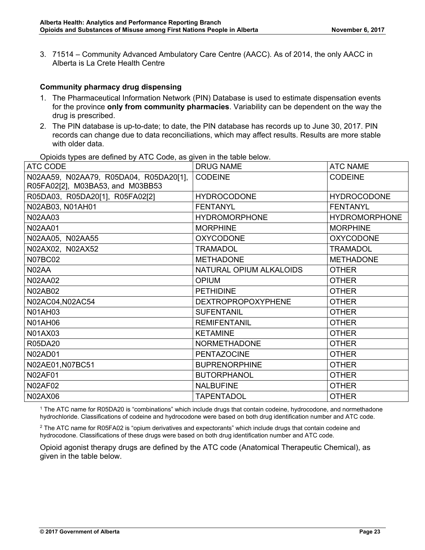3. 71514 – Community Advanced Ambulatory Care Centre (AACC). As of 2014, the only AACC in Alberta is La Crete Health Centre

#### **Community pharmacy drug dispensing**

- 1. The Pharmaceutical Information Network (PIN) Database is used to estimate dispensation events for the province **only from community pharmacies**. Variability can be dependent on the way the drug is prescribed.
- 2. The PIN database is up-to-date; to date, the PIN database has records up to June 30, 2017. PIN records can change due to data reconciliations, which may affect results. Results are more stable with older data.

| <b>CODEINE</b>            | <b>CODEINE</b>       |
|---------------------------|----------------------|
| <b>HYDROCODONE</b>        | <b>HYDROCODONE</b>   |
| <b>FENTANYL</b>           | <b>FENTANYL</b>      |
| <b>HYDROMORPHONE</b>      | <b>HYDROMORPHONE</b> |
| <b>MORPHINE</b>           | <b>MORPHINE</b>      |
| <b>OXYCODONE</b>          | <b>OXYCODONE</b>     |
| <b>TRAMADOL</b>           | <b>TRAMADOL</b>      |
| <b>METHADONE</b>          | <b>METHADONE</b>     |
| NATURAL OPIUM ALKALOIDS   | <b>OTHER</b>         |
| <b>OPIUM</b>              | <b>OTHER</b>         |
| <b>PETHIDINE</b>          | <b>OTHER</b>         |
| <b>DEXTROPROPOXYPHENE</b> | <b>OTHER</b>         |
| <b>SUFENTANIL</b>         | <b>OTHER</b>         |
| <b>REMIFENTANIL</b>       | <b>OTHER</b>         |
| <b>KETAMINE</b>           | <b>OTHER</b>         |
| <b>NORMETHADONE</b>       | <b>OTHER</b>         |
| <b>PENTAZOCINE</b>        | <b>OTHER</b>         |
| <b>BUPRENORPHINE</b>      | <b>OTHER</b>         |
| <b>BUTORPHANOL</b>        | <b>OTHER</b>         |
| <b>NALBUFINE</b>          | <b>OTHER</b>         |
| <b>TAPENTADOL</b>         | <b>OTHER</b>         |
|                           |                      |

Opioids types are defined by ATC Code, as given in the table below.

1 The ATC name for R05DA20 is "combinations" which include drugs that contain codeine, hydrocodone, and normethadone hydrochloride. Classifications of codeine and hydrocodone were based on both drug identification number and ATC code.

<sup>2</sup> The ATC name for R05FA02 is "opium derivatives and expectorants" which include drugs that contain codeine and hydrocodone. Classifications of these drugs were based on both drug identification number and ATC code.

Opioid agonist therapy drugs are defined by the ATC code (Anatomical Therapeutic Chemical), as given in the table below.